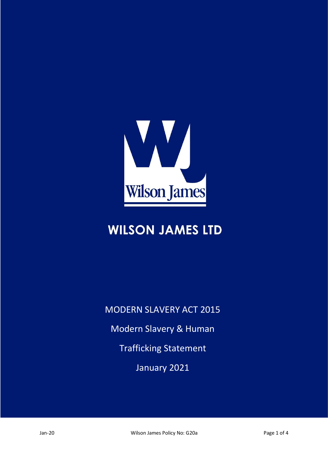

# **WILSON JAMES LTD**

MODERN SLAVERY ACT 2015 Modern Slavery & Human Trafficking Statement January 2021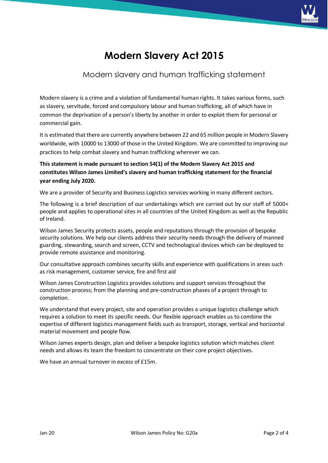

## **Modern Slavery Act 2015**

#### Modern slavery and human trafficking statement

Modern slavery is a crime and a violation of fundamental human rights. It takes various forms, such as slavery, servitude, forced and compulsory labour and human trafficking, all of which have in common the deprivation of a person's liberty by another in order to exploit them for personal or commercial gain.

It is estimated that there are currently anywhere between 22 and 65 million people in Modern Slavery worldwide, with 10000 to 13000 of those in the United Kingdom. We are committed to improving our practices to help combat slavery and human trafficking wherever we can.

**This statement is made pursuant to section 54(1) of the Modern Slavery Act 2015 and constitutes Wilson James Limited's slavery and human trafficking statement for the financial year ending July 2020.**

We are a provider of Security and Business Logistics services working in many different sectors.

The following is a brief description of our undertakings which are carried out by our staff of 5000+ people and applies to operational sites in all countries of the United Kingdom as well as the Republic of Ireland.

Wilson James Security protects assets, people and reputations through the provision of bespoke security solutions. We help our clients address their security needs through the delivery of manned guarding, stewarding, search and screen, CCTV and technological devices which can be deployed to provide remote assistance and monitoring.

Our consultative approach combines security skills and experience with qualifications in areas such as risk management, customer service, fire and first aid

Wilson James Construction Logistics provides solutions and support services throughout the construction process; from the planning and pre-construction phases of a project through to completion.

We understand that every project, site and operation provides a unique logistics challenge which requires a solution to meet its specific needs. Our flexible approach enables us to combine the expertise of different logistics management fields such as transport, storage, vertical and horizontal material movement and people flow.

Wilson James experts design, plan and deliver a bespoke logistics solution which matches client needs and allows its team the freedom to concentrate on their core project objectives.

We have an annual turnover in excess of £15m.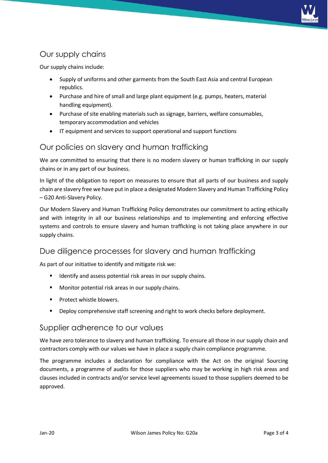

### Our supply chains

Our supply chains include:

- Supply of uniforms and other garments from the South East Asia and central European republics.
- Purchase and hire of small and large plant equipment (e.g. pumps, heaters, material handling equipment).
- Purchase of site enabling materials such as signage, barriers, welfare consumables, temporary accommodation and vehicles
- IT equipment and services to support operational and support functions

#### Our policies on slavery and human trafficking

We are committed to ensuring that there is no modern slavery or human trafficking in our supply chains or in any part of our business.

In light of the obligation to report on measures to ensure that all parts of our business and supply chain are slavery free we have put in place a designated Modern Slavery and Human Trafficking Policy – G20 Anti-Slavery Policy.

Our Modern Slavery and Human Trafficking Policy demonstrates our commitment to acting ethically and with integrity in all our business relationships and to implementing and enforcing effective systems and controls to ensure slavery and human trafficking is not taking place anywhere in our supply chains.

#### Due diligence processes for slavery and human trafficking

As part of our initiative to identify and mitigate risk we:

- Identify and assess potential risk areas in our supply chains.
- Monitor potential risk areas in our supply chains.
- Protect whistle blowers.
- Deploy comprehensive staff screening and right to work checks before deployment.

#### Supplier adherence to our values

We have zero tolerance to slavery and human trafficking. To ensure all those in our supply chain and contractors comply with our values we have in place a supply chain compliance programme.

The programme includes a declaration for compliance with the Act on the original Sourcing documents, a programme of audits for those suppliers who may be working in high risk areas and clauses included in contracts and/or service level agreements issued to those suppliers deemed to be approved.